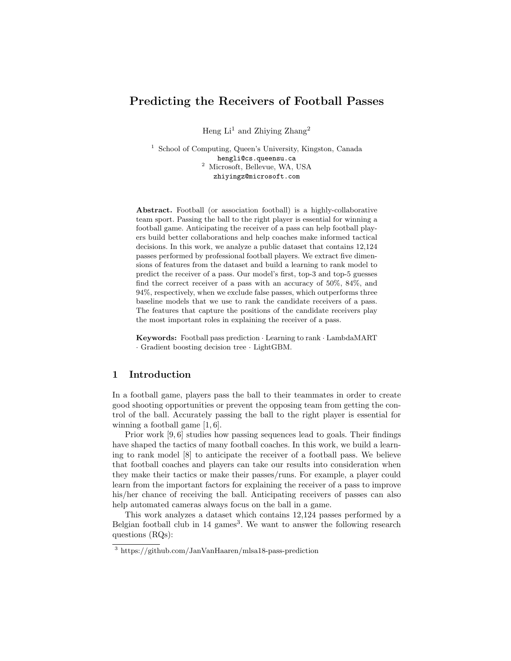# Predicting the Receivers of Football Passes

Heng  $Li<sup>1</sup>$  and Zhiying Zhang<sup>2</sup>

<sup>1</sup> School of Computing, Queen's University, Kingston, Canada hengli@cs.queensu.ca <sup>2</sup> Microsoft, Bellevue, WA, USA zhiyingz@microsoft.com

Abstract. Football (or association football) is a highly-collaborative team sport. Passing the ball to the right player is essential for winning a football game. Anticipating the receiver of a pass can help football players build better collaborations and help coaches make informed tactical decisions. In this work, we analyze a public dataset that contains 12,124 passes performed by professional football players. We extract five dimensions of features from the dataset and build a learning to rank model to predict the receiver of a pass. Our model's first, top-3 and top-5 guesses find the correct receiver of a pass with an accuracy of 50%, 84%, and 94%, respectively, when we exclude false passes, which outperforms three baseline models that we use to rank the candidate receivers of a pass. The features that capture the positions of the candidate receivers play the most important roles in explaining the receiver of a pass.

Keywords: Football pass prediction · Learning to rank · LambdaMART · Gradient boosting decision tree · LightGBM.

# 1 Introduction

In a football game, players pass the ball to their teammates in order to create good shooting opportunities or prevent the opposing team from getting the control of the ball. Accurately passing the ball to the right player is essential for winning a football game [1, 6].

Prior work [9, 6] studies how passing sequences lead to goals. Their findings have shaped the tactics of many football coaches. In this work, we build a learning to rank model [8] to anticipate the receiver of a football pass. We believe that football coaches and players can take our results into consideration when they make their tactics or make their passes/runs. For example, a player could learn from the important factors for explaining the receiver of a pass to improve his/her chance of receiving the ball. Anticipating receivers of passes can also help automated cameras always focus on the ball in a game.

This work analyzes a dataset which contains 12,124 passes performed by a Belgian football club in 14 games<sup>3</sup>. We want to answer the following research questions (RQs):

<sup>3</sup> https://github.com/JanVanHaaren/mlsa18-pass-prediction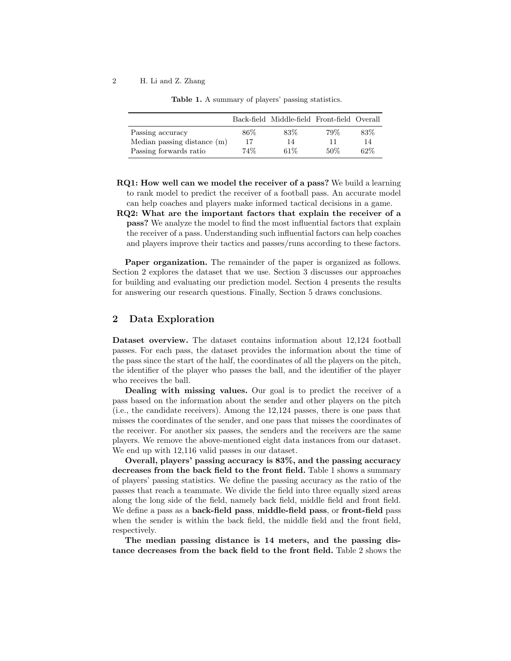### 2 H. Li and Z. Zhang

|                             |     | Back-field Middle-field Front-field Overall |        |     |
|-----------------------------|-----|---------------------------------------------|--------|-----|
| Passing accuracy            | 86% | 83\%                                        | 79%    | 83% |
| Median passing distance (m) | 17  | 14                                          | 11     | 14  |
| Passing forwards ratio      | 74% | 61%                                         | $50\%$ | 62% |

Table 1. A summary of players' passing statistics.

- RQ1: How well can we model the receiver of a pass? We build a learning to rank model to predict the receiver of a football pass. An accurate model can help coaches and players make informed tactical decisions in a game.
- RQ2: What are the important factors that explain the receiver of a pass? We analyze the model to find the most influential factors that explain the receiver of a pass. Understanding such influential factors can help coaches and players improve their tactics and passes/runs according to these factors.

Paper organization. The remainder of the paper is organized as follows. Section 2 explores the dataset that we use. Section 3 discusses our approaches for building and evaluating our prediction model. Section 4 presents the results for answering our research questions. Finally, Section 5 draws conclusions.

# 2 Data Exploration

Dataset overview. The dataset contains information about 12,124 football passes. For each pass, the dataset provides the information about the time of the pass since the start of the half, the coordinates of all the players on the pitch, the identifier of the player who passes the ball, and the identifier of the player who receives the ball.

Dealing with missing values. Our goal is to predict the receiver of a pass based on the information about the sender and other players on the pitch (i.e., the candidate receivers). Among the 12,124 passes, there is one pass that misses the coordinates of the sender, and one pass that misses the coordinates of the receiver. For another six passes, the senders and the receivers are the same players. We remove the above-mentioned eight data instances from our dataset. We end up with 12,116 valid passes in our dataset.

Overall, players' passing accuracy is 83%, and the passing accuracy decreases from the back field to the front field. Table 1 shows a summary of players' passing statistics. We define the passing accuracy as the ratio of the passes that reach a teammate. We divide the field into three equally sized areas along the long side of the field, namely back field, middle field and front field. We define a pass as a **back-field pass**, **middle-field pass**, or **front-field** pass when the sender is within the back field, the middle field and the front field, respectively.

The median passing distance is 14 meters, and the passing distance decreases from the back field to the front field. Table 2 shows the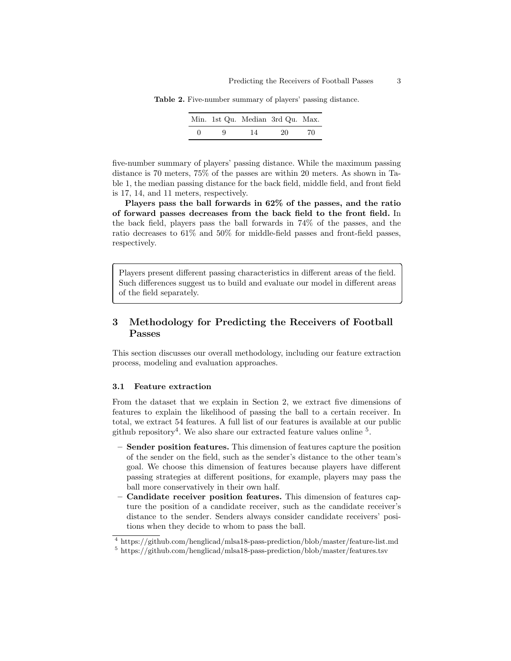|  |   |    | Min. 1st Qu. Median 3rd Qu. Max. |    |
|--|---|----|----------------------------------|----|
|  | Q | 14 | -20                              | 70 |

Table 2. Five-number summary of players' passing distance.

five-number summary of players' passing distance. While the maximum passing distance is 70 meters, 75% of the passes are within 20 meters. As shown in Table 1, the median passing distance for the back field, middle field, and front field is 17, 14, and 11 meters, respectively.

Players pass the ball forwards in 62% of the passes, and the ratio of forward passes decreases from the back field to the front field. In the back field, players pass the ball forwards in 74% of the passes, and the ratio decreases to 61% and 50% for middle-field passes and front-field passes, respectively.

Players present different passing characteristics in different areas of the field. Such differences suggest us to build and evaluate our model in different areas of the field separately.

# 3 Methodology for Predicting the Receivers of Football Passes

This section discusses our overall methodology, including our feature extraction process, modeling and evaluation approaches.

### 3.1 Feature extraction

✄

 $\overline{a}$ 

From the dataset that we explain in Section 2, we extract five dimensions of features to explain the likelihood of passing the ball to a certain receiver. In total, we extract 54 features. A full list of our features is available at our public github repository<sup>4</sup>. We also share our extracted feature values online  $<sup>5</sup>$ .</sup>

- Sender position features. This dimension of features capture the position of the sender on the field, such as the sender's distance to the other team's goal. We choose this dimension of features because players have different passing strategies at different positions, for example, players may pass the ball more conservatively in their own half.
- Candidate receiver position features. This dimension of features capture the position of a candidate receiver, such as the candidate receiver's distance to the sender. Senders always consider candidate receivers' positions when they decide to whom to pass the ball.

ĺ.

✁

<sup>4</sup> https://github.com/henglicad/mlsa18-pass-prediction/blob/master/feature-list.md

<sup>5</sup> https://github.com/henglicad/mlsa18-pass-prediction/blob/master/features.tsv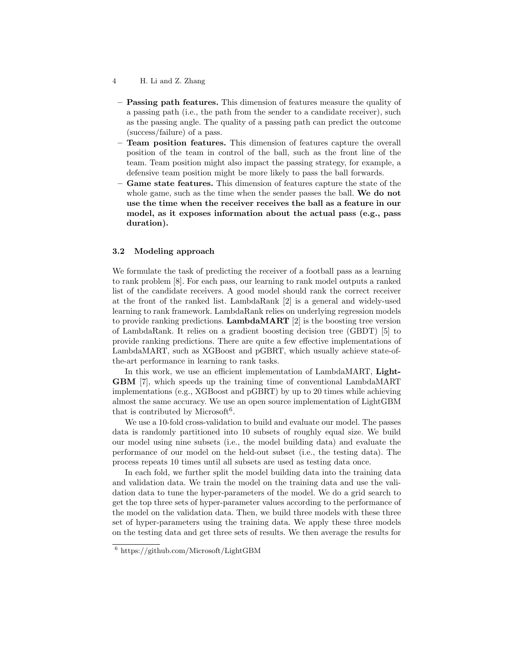- Passing path features. This dimension of features measure the quality of a passing path (i.e., the path from the sender to a candidate receiver), such as the passing angle. The quality of a passing path can predict the outcome (success/failure) of a pass.
- Team position features. This dimension of features capture the overall position of the team in control of the ball, such as the front line of the team. Team position might also impact the passing strategy, for example, a defensive team position might be more likely to pass the ball forwards.
- Game state features. This dimension of features capture the state of the whole game, such as the time when the sender passes the ball. We do not use the time when the receiver receives the ball as a feature in our model, as it exposes information about the actual pass (e.g., pass duration).

## 3.2 Modeling approach

We formulate the task of predicting the receiver of a football pass as a learning to rank problem [8]. For each pass, our learning to rank model outputs a ranked list of the candidate receivers. A good model should rank the correct receiver at the front of the ranked list. LambdaRank [2] is a general and widely-used learning to rank framework. LambdaRank relies on underlying regression models to provide ranking predictions. LambdaMART  $[2]$  is the boosting tree version of LambdaRank. It relies on a gradient boosting decision tree (GBDT) [5] to provide ranking predictions. There are quite a few effective implementations of LambdaMART, such as XGBoost and pGBRT, which usually achieve state-ofthe-art performance in learning to rank tasks.

In this work, we use an efficient implementation of LambdaMART, Light-GBM [7], which speeds up the training time of conventional LambdaMART implementations (e.g., XGBoost and pGBRT) by up to 20 times while achieving almost the same accuracy. We use an open source implementation of LightGBM that is contributed by Microsoft<sup>6</sup>.

We use a 10-fold cross-validation to build and evaluate our model. The passes data is randomly partitioned into 10 subsets of roughly equal size. We build our model using nine subsets (i.e., the model building data) and evaluate the performance of our model on the held-out subset (i.e., the testing data). The process repeats 10 times until all subsets are used as testing data once.

In each fold, we further split the model building data into the training data and validation data. We train the model on the training data and use the validation data to tune the hyper-parameters of the model. We do a grid search to get the top three sets of hyper-parameter values according to the performance of the model on the validation data. Then, we build three models with these three set of hyper-parameters using the training data. We apply these three models on the testing data and get three sets of results. We then average the results for

<sup>4</sup> H. Li and Z. Zhang

<sup>6</sup> https://github.com/Microsoft/LightGBM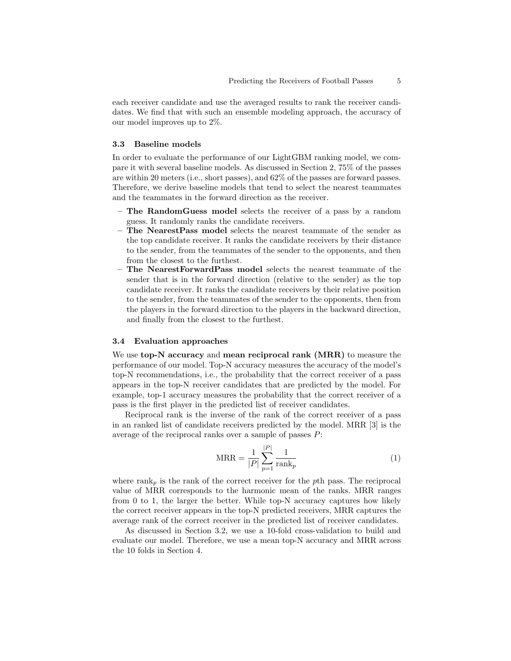each receiver candidate and use the averaged results to rank the receiver candidates. We find that with such an ensemble modeling approach, the accuracy of our model improves up to 2%.

### 3.3 Baseline models

In order to evaluate the performance of our LightGBM ranking model, we compare it with several baseline models. As discussed in Section 2, 75% of the passes are within 20 meters (i.e., short passes), and 62% of the passes are forward passes. Therefore, we derive baseline models that tend to select the nearest teammates and the teammates in the forward direction as the receiver.

- The RandomGuess model selects the receiver of a pass by a random guess. It randomly ranks the candidate receivers.
- The NearestPass model selects the nearest teammate of the sender as the top candidate receiver. It ranks the candidate receivers by their distance to the sender, from the teammates of the sender to the opponents, and then from the closest to the furthest.
- The NearestForwardPass model selects the nearest teammate of the sender that is in the forward direction (relative to the sender) as the top candidate receiver. It ranks the candidate receivers by their relative position to the sender, from the teammates of the sender to the opponents, then from the players in the forward direction to the players in the backward direction, and finally from the closest to the furthest.

## 3.4 Evaluation approaches

We use top-N accuracy and mean reciprocal rank (MRR) to measure the performance of our model. Top-N accuracy measures the accuracy of the model's top-N recommendations, i.e., the probability that the correct receiver of a pass appears in the top-N receiver candidates that are predicted by the model. For example, top-1 accuracy measures the probability that the correct receiver of a pass is the first player in the predicted list of receiver candidates.

Reciprocal rank is the inverse of the rank of the correct receiver of a pass in an ranked list of candidate receivers predicted by the model. MRR [3] is the average of the reciprocal ranks over a sample of passes P:

$$
MRR = \frac{1}{|P|} \sum_{p=1}^{|P|} \frac{1}{\text{rank}_p}
$$
 (1)

where rank<sub>p</sub> is the rank of the correct receiver for the pth pass. The reciprocal value of MRR corresponds to the harmonic mean of the ranks. MRR ranges from 0 to 1, the larger the better. While top-N accuracy captures how likely the correct receiver appears in the top-N predicted receivers, MRR captures the average rank of the correct receiver in the predicted list of receiver candidates.

As discussed in Section 3.2, we use a 10-fold cross-validation to build and evaluate our model. Therefore, we use a mean top-N accuracy and MRR across the 10 folds in Section 4.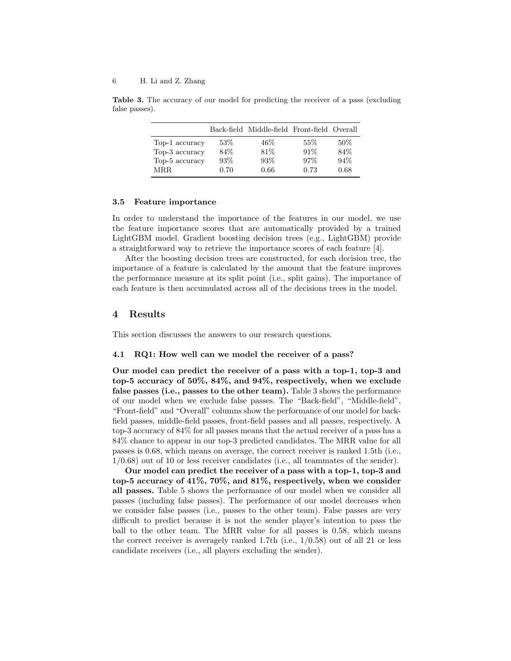|                |        | Back-field Middle-field Front-field Overall |        |        |
|----------------|--------|---------------------------------------------|--------|--------|
| Top-1 accuracy | $53\%$ | $46\%$                                      | 55%    | $50\%$ |
| Top-3 accuracy | 84\%   | 81\%                                        | 91%    | 84%    |
| Top-5 accuracy | 93\%   | 93%                                         | $97\%$ | 94%    |
| MRR.           | 0.70   | 0.66                                        | 0.73   | 0.68   |

Table 3. The accuracy of our model for predicting the receiver of a pass (excluding false passes).

#### 3.5 Feature importance

In order to understand the importance of the features in our model, we use the feature importance scores that are automatically provided by a trained LightGBM model. Gradient boosting decision trees (e.g., LightGBM) provide a straightforward way to retrieve the importance scores of each feature [4].

After the boosting decision trees are constructed, for each decision tree, the importance of a feature is calculated by the amount that the feature improves the performance measure at its split point (i.e., split gains). The importance of each feature is then accumulated across all of the decisions trees in the model.

## 4 Results

This section discusses the answers to our research questions.

## 4.1 RQ1: How well can we model the receiver of a pass?

Our model can predict the receiver of a pass with a top-1, top-3 and top-5 accuracy of 50%, 84%, and 94%, respectively, when we exclude false passes (i.e., passes to the other team). Table 3 shows the performance of our model when we exclude false passes. The "Back-field", "Middle-field", "Front-field" and "Overall" columns show the performance of our model for backfield passes, middle-field passes, front-field passes and all passes, respectively. A top-3 accuracy of 84% for all passes means that the actual receiver of a pass has a 84% chance to appear in our top-3 predicted candidates. The MRR value for all passes is 0.68, which means on average, the correct receiver is ranked 1.5th (i.e., 1/0.68) out of 10 or less receiver candidates (i.e., all teammates of the sender).

Our model can predict the receiver of a pass with a top-1, top-3 and top-5 accuracy of 41%, 70%, and 81%, respectively, when we consider all passes. Table 5 shows the performance of our model when we consider all passes (including false passes). The performance of our model decreases when we consider false passes (i.e., passes to the other team). False passes are very difficult to predict because it is not the sender player's intention to pass the ball to the other team. The MRR value for all passes is 0.58, which means the correct receiver is averagely ranked 1.7th (i.e., 1/0.58) out of all 21 or less candidate receivers (i.e., all players excluding the sender).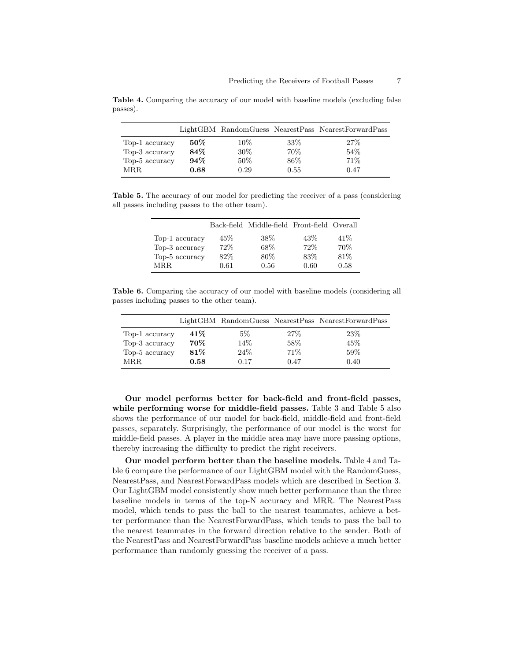Table 4. Comparing the accuracy of our model with baseline models (excluding false passes).

|                |        |        |      | LightGBM RandomGuess NearestPass NearestForwardPass |
|----------------|--------|--------|------|-----------------------------------------------------|
| Top-1 accuracy | $50\%$ | $10\%$ | 33%  | 27\%                                                |
| Top-3 accuracy | 84\%   | 30%    | 70%  | 54%                                                 |
| Top-5 accuracy | 94%    | 50%    | 86%  | 71%                                                 |
| MRR            | 0.68   | 0.29   | 0.55 | 0.47                                                |

Table 5. The accuracy of our model for predicting the receiver of a pass (considering all passes including passes to the other team).

|                |        | Back-field Middle-field Front-field Overall |      |      |
|----------------|--------|---------------------------------------------|------|------|
| Top-1 accuracy | $45\%$ | 38\%                                        | 43\% | 41\% |
| Top-3 accuracy | 72\%   | 68\%                                        | 72%  | 70\% |
| Top-5 accuracy | 82%    | 80\%                                        | 83%  | 81\% |
| MRR.           | 0.61   | 0.56                                        | 0.60 | 0.58 |

Table 6. Comparing the accuracy of our model with baseline models (considering all passes including passes to the other team).

|                |        |       |      | LightGBM RandomGuess NearestPass NearestForwardPass |
|----------------|--------|-------|------|-----------------------------------------------------|
| Top-1 accuracy | $41\%$ | $5\%$ | 27%  | 23\%                                                |
| Top-3 accuracy | 70%    | 14%   | 58%  | 45\%                                                |
| Top-5 accuracy | 81\%   | 24\%  | 71\% | 59%                                                 |
| MRR.           | 0.58   | 0.17  | 0.47 | 0.40                                                |

Our model performs better for back-field and front-field passes, while performing worse for middle-field passes. Table 3 and Table 5 also shows the performance of our model for back-field, middle-field and front-field passes, separately. Surprisingly, the performance of our model is the worst for middle-field passes. A player in the middle area may have more passing options, thereby increasing the difficulty to predict the right receivers.

Our model perform better than the baseline models. Table 4 and Table 6 compare the performance of our LightGBM model with the RandomGuess, NearestPass, and NearestForwardPass models which are described in Section 3. Our LightGBM model consistently show much better performance than the three baseline models in terms of the top-N accuracy and MRR. The NearestPass model, which tends to pass the ball to the nearest teammates, achieve a better performance than the NearestForwardPass, which tends to pass the ball to the nearest teammates in the forward direction relative to the sender. Both of the NearestPass and NearestForwardPass baseline models achieve a much better performance than randomly guessing the receiver of a pass.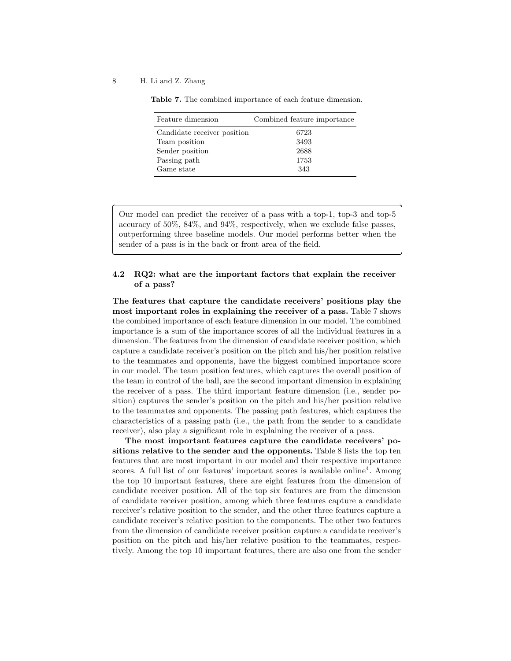### 8 H. Li and Z. Zhang

✄

 $\overline{a}$ 

Table 7. The combined importance of each feature dimension.

| Feature dimension           | Combined feature importance |
|-----------------------------|-----------------------------|
| Candidate receiver position | 6723                        |
| Team position               | 3493                        |
| Sender position             | 2688                        |
| Passing path                | 1753                        |
| Game state                  | 343                         |

Our model can predict the receiver of a pass with a top-1, top-3 and top-5 accuracy of 50%, 84%, and 94%, respectively, when we exclude false passes, outperforming three baseline models. Our model performs better when the sender of a pass is in the back or front area of the field.

ĺ.

✁

# 4.2 RQ2: what are the important factors that explain the receiver of a pass?

The features that capture the candidate receivers' positions play the most important roles in explaining the receiver of a pass. Table 7 shows the combined importance of each feature dimension in our model. The combined importance is a sum of the importance scores of all the individual features in a dimension. The features from the dimension of candidate receiver position, which capture a candidate receiver's position on the pitch and his/her position relative to the teammates and opponents, have the biggest combined importance score in our model. The team position features, which captures the overall position of the team in control of the ball, are the second important dimension in explaining the receiver of a pass. The third important feature dimension (i.e., sender position) captures the sender's position on the pitch and his/her position relative to the teammates and opponents. The passing path features, which captures the characteristics of a passing path (i.e., the path from the sender to a candidate receiver), also play a significant role in explaining the receiver of a pass.

The most important features capture the candidate receivers' positions relative to the sender and the opponents. Table 8 lists the top ten features that are most important in our model and their respective importance scores. A full list of our features' important scores is available online<sup>4</sup>. Among the top 10 important features, there are eight features from the dimension of candidate receiver position. All of the top six features are from the dimension of candidate receiver position, among which three features capture a candidate receiver's relative position to the sender, and the other three features capture a candidate receiver's relative position to the components. The other two features from the dimension of candidate receiver position capture a candidate receiver's position on the pitch and his/her relative position to the teammates, respectively. Among the top 10 important features, there are also one from the sender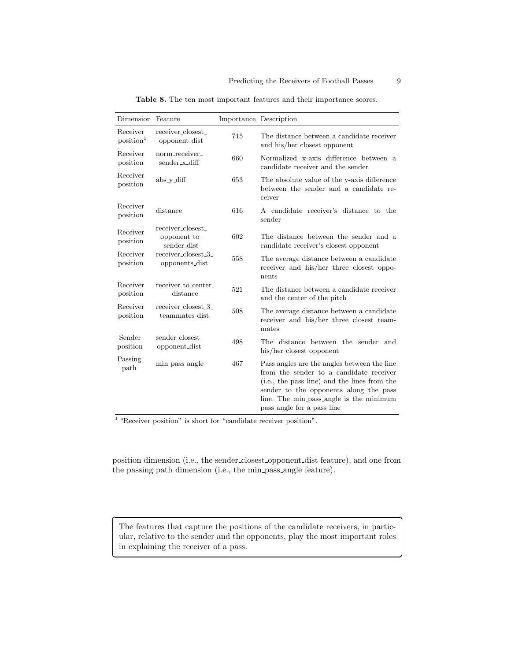| Dimension Feature                 |                                                  |     | Importance Description                                                                                                                                                                                                                                    |
|-----------------------------------|--------------------------------------------------|-----|-----------------------------------------------------------------------------------------------------------------------------------------------------------------------------------------------------------------------------------------------------------|
| Receiver<br>position <sup>1</sup> | receiver_closest_<br>opponent_dist               | 715 | The distance between a candidate receiver<br>and his/her closest opponent                                                                                                                                                                                 |
| Receiver<br>position              | norm_receiver_<br>sender_x_diff                  | 660 | Normalized x-axis difference between a<br>candidate receiver and the sender                                                                                                                                                                               |
| Receiver<br>position              | $abs_y_d$                                        | 653 | The absolute value of the y-axis difference<br>between the sender and a candidate re-<br>ceiver                                                                                                                                                           |
| Receiver<br>position              | distance                                         | 616 | A candidate receiver's distance to the<br>sender                                                                                                                                                                                                          |
| Receiver<br>position              | receiver_closest_<br>opponent_to_<br>sender_dist | 602 | The distance between the sender and a<br>candidate receiver's closest opponent                                                                                                                                                                            |
| Receiver<br>position              | receiver_closest_3_<br>opponents_dist            | 558 | The average distance between a candidate<br>receiver and his/her three closest oppo-<br>nents                                                                                                                                                             |
| Receiver<br>position              | receiver_to_center_<br>distance                  | 521 | The distance between a candidate receiver<br>and the center of the pitch                                                                                                                                                                                  |
| Receiver<br>position              | receiver_closest_3_<br>teammates_dist            | 508 | The average distance between a candidate<br>receiver and his/her three closest team-<br>mates                                                                                                                                                             |
| Sender<br>position                | sender_closest_<br>opponent_dist                 | 498 | The distance between the sender and<br>his/her closest opponent                                                                                                                                                                                           |
| Passing<br>path                   | min_pass_angle                                   | 467 | Pass angles are the angles between the line<br>from the sender to a candidate receiver<br>(i.e., the pass line) and the lines from the<br>sender to the opponents along the pass<br>line. The min_pass_angle is the minimum<br>pass angle for a pass line |

Table 8. The ten most important features and their importance scores.

<sup>1</sup> "Receiver position" is short for "candidate receiver position".

✄

 $\overline{a}$ 

position dimension (i.e., the sender closest opponent dist feature), and one from the passing path dimension (i.e., the min pass angle feature).

The features that capture the positions of the candidate receivers, in particular, relative to the sender and the opponents, play the most important roles in explaining the receiver of a pass.

Ĭ.

✁